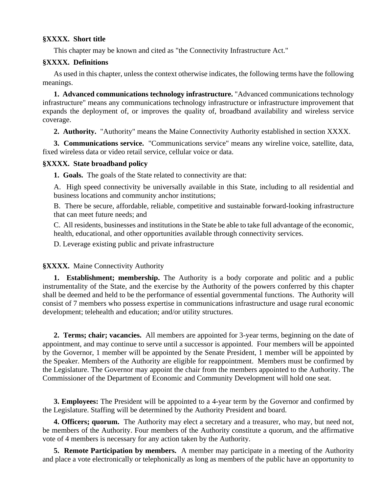# **§XXXX. Short title**

This chapter may be known and cited as "the Connectivity Infrastructure Act."

# **§XXXX. Definitions**

As used in this chapter, unless the context otherwise indicates, the following terms have the following meanings.

**1. Advanced communications technology infrastructure.** "Advanced communications technology infrastructure" means any communications technology infrastructure or infrastructure improvement that expands the deployment of, or improves the quality of, broadband availability and wireless service coverage.

**2. Authority.** "Authority" means the Maine Connectivity Authority established in section XXXX.

**3. Communications service.** "Communications service" means any wireline voice, satellite, data, fixed wireless data or video retail service, cellular voice or data.

## **§XXXX. State broadband policy**

**1. Goals.** The goals of the State related to connectivity are that:

A. High speed connectivity be universally available in this State, including to all residential and business locations and community anchor institutions;

B. There be secure, affordable, reliable, competitive and sustainable forward-looking infrastructure that can meet future needs; and

C. All residents, businesses and institutions in the State be able to take full advantage of the economic, health, educational, and other opportunities available through connectivity services.

D. Leverage existing public and private infrastructure

**§XXXX.** Maine Connectivity Authority

**1. Establishment; membership.** The Authority is a body corporate and politic and a public instrumentality of the State, and the exercise by the Authority of the powers conferred by this chapter shall be deemed and held to be the performance of essential governmental functions. The Authority will consist of 7 members who possess expertise in communications infrastructure and usage rural economic development; telehealth and education; and/or utility structures.

**2. Terms; chair; vacancies.** All members are appointed for 3-year terms, beginning on the date of appointment, and may continue to serve until a successor is appointed. Four members will be appointed by the Governor, 1 member will be appointed by the Senate President, 1 member will be appointed by the Speaker. Members of the Authority are eligible for reappointment. Members must be confirmed by the Legislature. The Governor may appoint the chair from the members appointed to the Authority. The Commissioner of the Department of Economic and Community Development will hold one seat.

**3. Employees:** The President will be appointed to a 4-year term by the Governor and confirmed by the Legislature. Staffing will be determined by the Authority President and board.

**4. Officers; quorum.** The Authority may elect a secretary and a treasurer, who may, but need not, be members of the Authority. Four members of the Authority constitute a quorum, and the affirmative vote of 4 members is necessary for any action taken by the Authority.

**5. Remote Participation by members.** A member may participate in a meeting of the Authority and place a vote electronically or telephonically as long as members of the public have an opportunity to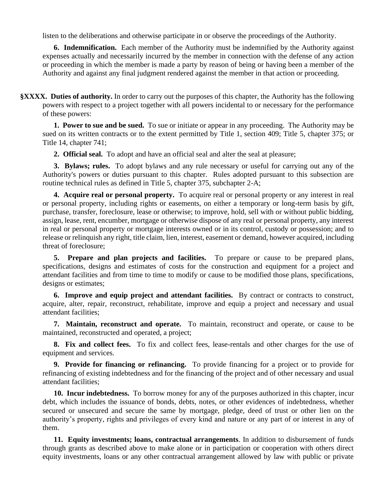listen to the deliberations and otherwise participate in or observe the proceedings of the Authority.

**6. Indemnification.** Each member of the Authority must be indemnified by the Authority against expenses actually and necessarily incurred by the member in connection with the defense of any action or proceeding in which the member is made a party by reason of being or having been a member of the Authority and against any final judgment rendered against the member in that action or proceeding.

**§XXXX. Duties of authority.** In order to carry out the purposes of this chapter, the Authority has the following powers with respect to a project together with all powers incidental to or necessary for the performance of these powers:

**1. Power to sue and be sued.** To sue or initiate or appear in any proceeding. The Authority may be sued on its written contracts or to the extent permitted by Title 1, section 409; Title 5, chapter 375; or Title 14, chapter 741;

**2. Official seal.** To adopt and have an official seal and alter the seal at pleasure;

**3. Bylaws; rules.** To adopt bylaws and any rule necessary or useful for carrying out any of the Authority's powers or duties pursuant to this chapter. Rules adopted pursuant to this subsection are routine technical rules as defined in Title 5, chapter 375, subchapter 2-A;

**4. Acquire real or personal property.** To acquire real or personal property or any interest in real or personal property, including rights or easements, on either a temporary or long-term basis by gift, purchase, transfer, foreclosure, lease or otherwise; to improve, hold, sell with or without public bidding, assign, lease, rent, encumber, mortgage or otherwise dispose of any real or personal property, any interest in real or personal property or mortgage interests owned or in its control, custody or possession; and to release or relinquish any right, title claim, lien, interest, easement or demand, however acquired, including threat of foreclosure;

**5. Prepare and plan projects and facilities.** To prepare or cause to be prepared plans, specifications, designs and estimates of costs for the construction and equipment for a project and attendant facilities and from time to time to modify or cause to be modified those plans, specifications, designs or estimates;

**6. Improve and equip project and attendant facilities.** By contract or contracts to construct, acquire, alter, repair, reconstruct, rehabilitate, improve and equip a project and necessary and usual attendant facilities;

**7. Maintain, reconstruct and operate.** To maintain, reconstruct and operate, or cause to be maintained, reconstructed and operated, a project;

**8. Fix and collect fees.** To fix and collect fees, lease-rentals and other charges for the use of equipment and services.

**9. Provide for financing or refinancing.** To provide financing for a project or to provide for refinancing of existing indebtedness and for the financing of the project and of other necessary and usual attendant facilities;

**10. Incur indebtedness.** To borrow money for any of the purposes authorized in this chapter, incur debt, which includes the issuance of bonds, debts, notes, or other evidences of indebtedness, whether secured or unsecured and secure the same by mortgage, pledge, deed of trust or other lien on the authority's property, rights and privileges of every kind and nature or any part of or interest in any of them.

**11. Equity investments; loans, contractual arrangements**. In addition to disbursement of funds through grants as described above to make alone or in participation or cooperation with others direct equity investments, loans or any other contractual arrangement allowed by law with public or private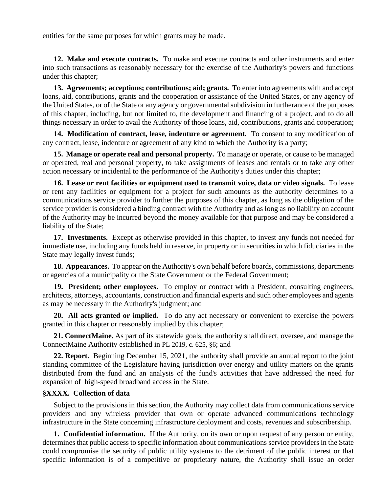entities for the same purposes for which grants may be made.

**12. Make and execute contracts.** To make and execute contracts and other instruments and enter into such transactions as reasonably necessary for the exercise of the Authority's powers and functions under this chapter;

**13. Agreements; acceptions; contributions; aid; grants.** To enter into agreements with and accept loans, aid, contributions, grants and the cooperation or assistance of the United States, or any agency of the United States, or of the State or any agency or governmental subdivision in furtherance of the purposes of this chapter, including, but not limited to, the development and financing of a project, and to do all things necessary in order to avail the Authority of those loans, aid, contributions, grants and cooperation;

**14. Modification of contract, lease, indenture or agreement.** To consent to any modification of any contract, lease, indenture or agreement of any kind to which the Authority is a party;

**15. Manage or operate real and personal property.** To manage or operate, or cause to be managed or operated, real and personal property, to take assignments of leases and rentals or to take any other action necessary or incidental to the performance of the Authority's duties under this chapter;

**16. Lease or rent facilities or equipment used to transmit voice, data or video signals.** To lease or rent any facilities or equipment for a project for such amounts as the authority determines to a communications service provider to further the purposes of this chapter, as long as the obligation of the service provider is considered a binding contract with the Authority and as long as no liability on account of the Authority may be incurred beyond the money available for that purpose and may be considered a liability of the State;

**17. Investments.** Except as otherwise provided in this chapter, to invest any funds not needed for immediate use, including any funds held in reserve, in property or in securities in which fiduciaries in the State may legally invest funds;

**18. Appearances.** To appear on the Authority's own behalf before boards, commissions, departments or agencies of a municipality or the State Government or the Federal Government;

**19. President; other employees.** To employ or contract with a President, consulting engineers, architects, attorneys, accountants, construction and financial experts and such other employees and agents as may be necessary in the Authority's judgment; and

**20. All acts granted or implied.** To do any act necessary or convenient to exercise the powers granted in this chapter or reasonably implied by this chapter;

**21. ConnectMaine.** As part of its statewide goals, the authority shall direct, oversee, and manage the ConnectMaine Authority established in PL 2019, c. 625, §6; and

**22. Report.** Beginning December 15, 2021, the authority shall provide an annual report to the joint standing committee of the Legislature having jurisdiction over energy and utility matters on the grants distributed from the fund and an analysis of the fund's activities that have addressed the need for expansion of high-speed broadband access in the State.

### **§XXXX. Collection of data**

Subject to the provisions in this section, the Authority may collect data from communications service providers and any wireless provider that own or operate advanced communications technology infrastructure in the State concerning infrastructure deployment and costs, revenues and subscribership.

**1. Confidential information.** If the Authority, on its own or upon request of any person or entity, determines that public access to specific information about communications service providers in the State could compromise the security of public utility systems to the detriment of the public interest or that specific information is of a competitive or proprietary nature, the Authority shall issue an order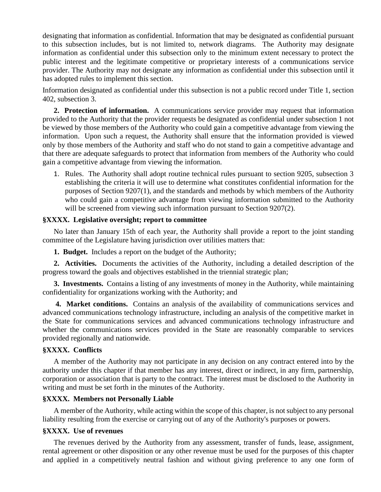designating that information as confidential. Information that may be designated as confidential pursuant to this subsection includes, but is not limited to, network diagrams. The Authority may designate information as confidential under this subsection only to the minimum extent necessary to protect the public interest and the legitimate competitive or proprietary interests of a communications service provider. The Authority may not designate any information as confidential under this subsection until it has adopted rules to implement this section.

Information designated as confidential under this subsection is not a public record under Title 1, section 402, subsection 3.

**2. Protection of information.** A communications service provider may request that information provided to the Authority that the provider requests be designated as confidential under subsection 1 not be viewed by those members of the Authority who could gain a competitive advantage from viewing the information. Upon such a request, the Authority shall ensure that the information provided is viewed only by those members of the Authority and staff who do not stand to gain a competitive advantage and that there are adequate safeguards to protect that information from members of the Authority who could gain a competitive advantage from viewing the information.

1. Rules. The Authority shall adopt routine technical rules pursuant to section 9205, subsection 3 establishing the criteria it will use to determine what constitutes confidential information for the purposes of Section 9207(1), and the standards and methods by which members of the Authority who could gain a competitive advantage from viewing information submitted to the Authority will be screened from viewing such information pursuant to Section 9207(2).

## **§XXXX. Legislative oversight; report to committee**

No later than January 15th of each year, the Authority shall provide a report to the joint standing committee of the Legislature having jurisdiction over utilities matters that:

**1. Budget.** Includes a report on the budget of the Authority;

**2. Activities.** Documents the activities of the Authority, including a detailed description of the progress toward the goals and objectives established in the triennial strategic plan;

**3. Investments.** Contains a listing of any investments of money in the Authority, while maintaining confidentiality for organizations working with the Authority; and

**4. Market conditions.** Contains an analysis of the availability of communications services and advanced communications technology infrastructure, including an analysis of the competitive market in the State for communications services and advanced communications technology infrastructure and whether the communications services provided in the State are reasonably comparable to services provided regionally and nationwide.

### **§XXXX. Conflicts**

A member of the Authority may not participate in any decision on any contract entered into by the authority under this chapter if that member has any interest, direct or indirect, in any firm, partnership, corporation or association that is party to the contract. The interest must be disclosed to the Authority in writing and must be set forth in the minutes of the Authority.

### **§XXXX. Members not Personally Liable**

A member of the Authority, while acting within the scope of this chapter, is not subject to any personal liability resulting from the exercise or carrying out of any of the Authority's purposes or powers.

## **§XXXX. Use of revenues**

The revenues derived by the Authority from any assessment, transfer of funds, lease, assignment, rental agreement or other disposition or any other revenue must be used for the purposes of this chapter and applied in a competitively neutral fashion and without giving preference to any one form of